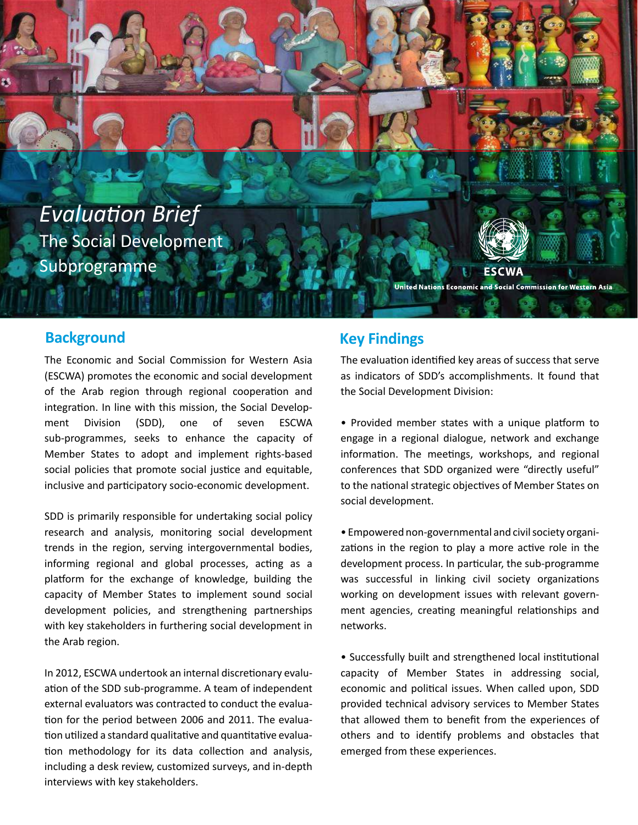**Evaluation Brief** The Social Development Subprogramme

**ESCWA** United Nations Economic and Social Commission for Western Asia

#### **Background Key Findings**

The Economic and Social Commission for Western Asia (ESCWA) promotes the economic and social development of the Arab region through regional cooperation and integration. In line with this mission, the Social Development Division (SDD), one of seven ESCWA sub-programmes, seeks to enhance the capacity of Member States to adopt and implement rights-based social policies that promote social justice and equitable, inclusive and participatory socio-economic development.

SDD is primarily responsible for undertaking social policy research and analysis, monitoring social development trends in the region, serving intergovernmental bodies, informing regional and global processes, acting as a platform for the exchange of knowledge, building the capacity of Member States to implement sound social development policies, and strengthening partnerships with key stakeholders in furthering social development in the Arab region.

tion for the period between 2006 and 2011. The evalua-In 2012, ESCWA undertook an internal discretionary evaluation of the SDD sub-programme. A team of independent external evaluators was contracted to conduct the evalua tion utilized a standard qualitative and quantitative evaluation methodology for its data collection and analysis, including a desk review, customized surveys, and in-depth interviews with key stakeholders.

The evaluation identified key areas of success that serve as indicators of SDD's accomplishments. It found that the Social Development Division:

• Provided member states with a unique platform to engage in a regional dialogue, network and exchange information. The meetings, workshops, and regional conferences that SDD organized were "directly useful" to the national strategic objectives of Member States on social development.

• Empowered non-governmental and civil society organizations in the region to play a more active role in the development process. In particular, the sub-programme was successful in linking civil society organizations working on development issues with relevant government agencies, creating meaningful relationships and networks.

• Successfully built and strengthened local institutional capacity of Member States in addressing social, economic and political issues. When called upon, SDD provided technical advisory services to Member States that allowed them to benefit from the experiences of others and to idenfy problems and obstacles that emerged from these experiences.